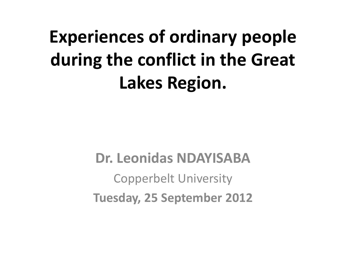### **Experiences of ordinary people during the conflict in the Great Lakes Region.**

**Dr. Leonidas NDAYISABA** Copperbelt University **Tuesday, 25 September 2012**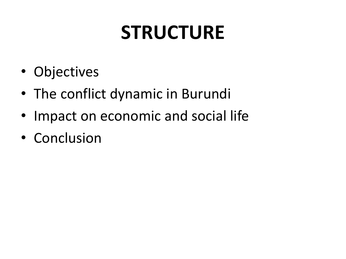### **STRUCTURE**

- Objectives
- The conflict dynamic in Burundi
- Impact on economic and social life
- Conclusion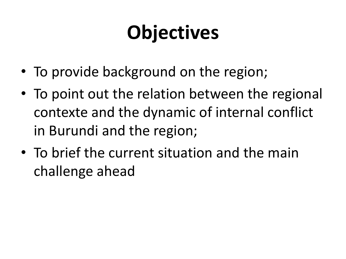### **Objectives**

- To provide background on the region;
- To point out the relation between the regional contexte and the dynamic of internal conflict in Burundi and the region;
- To brief the current situation and the main challenge ahead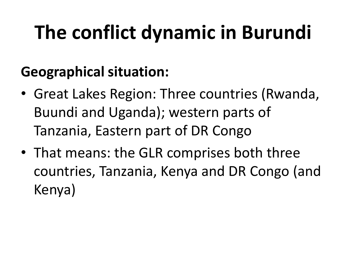#### **Geographical situation:**

- Great Lakes Region: Three countries (Rwanda, Buundi and Uganda); western parts of Tanzania, Eastern part of DR Congo
- That means: the GLR comprises both three countries, Tanzania, Kenya and DR Congo (and Kenya)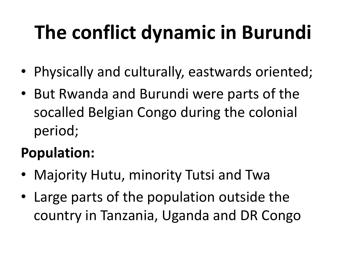- Physically and culturally, eastwards oriented;
- But Rwanda and Burundi were parts of the socalled Belgian Congo during the colonial period;

#### **Population:**

- Majority Hutu, minority Tutsi and Twa
- Large parts of the population outside the country in Tanzania, Uganda and DR Congo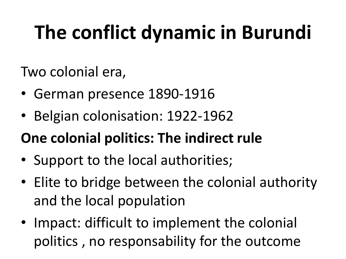Two colonial era,

- German presence 1890-1916
- Belgian colonisation: 1922-1962

#### **One colonial politics: The indirect rule**

- Support to the local authorities;
- Elite to bridge between the colonial authority and the local population
- Impact: difficult to implement the colonial politics , no responsability for the outcome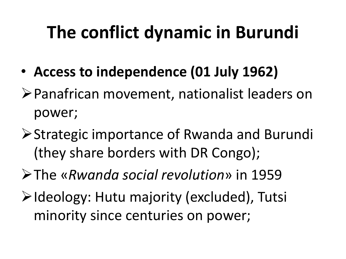- **Access to independence (01 July 1962)**
- Panafrican movement, nationalist leaders on power;
- **≻Strategic importance of Rwanda and Burundi** (they share borders with DR Congo);
- The «*Rwanda social revolution*» in 1959
- **E** Ideology: Hutu majority (excluded), Tutsi minority since centuries on power;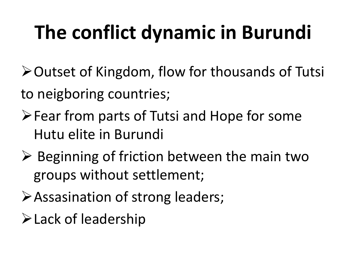**≻Outset of Kingdom, flow for thousands of Tutsi** to neigboring countries;

- **Example 1 Fear from parts of Tutsi and Hope for some** Hutu elite in Burundi
- $\triangleright$  Beginning of friction between the main two groups without settlement;
- Assasination of strong leaders;
- Lack of leadership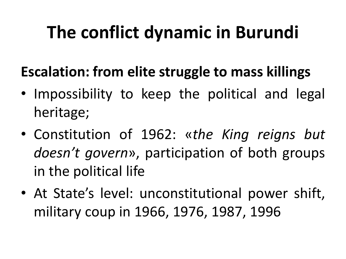#### **Escalation: from elite struggle to mass killings**

- Impossibility to keep the political and legal heritage;
- Constitution of 1962: «*the King reigns but doesn't govern*», participation of both groups in the political life
- At State's level: unconstitutional power shift, military coup in 1966, 1976, 1987, 1996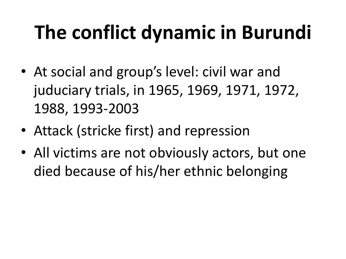- At social and group's level: civil war and juduciary trials, in 1965, 1969, 1971, 1972, 1988, 1993-2003
- Attack (stricke first) and repression
- All victims are not obviously actors, but one died because of his/her ethnic belonging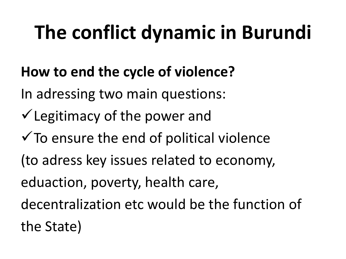#### **How to end the cycle of violence?**

In adressing two main questions:

- $\checkmark$  Legitimacy of the power and
- $\checkmark$  To ensure the end of political violence
- (to adress key issues related to economy,

eduaction, poverty, health care,

decentralization etc would be the function of the State)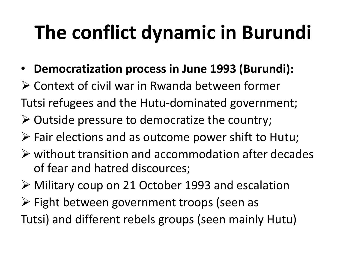- **Democratization process in June 1993 (Burundi):**
- Context of civil war in Rwanda between former
- Tutsi refugees and the Hutu-dominated government;
- $\triangleright$  Outside pressure to democratize the country;
- $\triangleright$  Fair elections and as outcome power shift to Hutu;
- $\triangleright$  without transition and accommodation after decades of fear and hatred discources;
- Military coup on 21 October 1993 and escalation
- $\triangleright$  Fight between government troops (seen as Tutsi) and different rebels groups (seen mainly Hutu)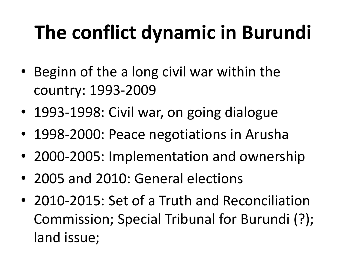- Beginn of the a long civil war within the country: 1993-2009
- 1993-1998: Civil war, on going dialogue
- 1998-2000: Peace negotiations in Arusha
- 2000-2005: Implementation and ownership
- 2005 and 2010: General elections
- 2010-2015: Set of a Truth and Reconciliation Commission; Special Tribunal for Burundi (?); land issue;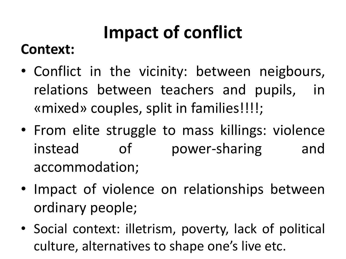#### **Context:**

- Conflict in the vicinity: between neigbours, relations between teachers and pupils, in «mixed» couples, split in families!!!!;
- From elite struggle to mass killings: violence instead of power-sharing and accommodation;
- Impact of violence on relationships between ordinary people;
- Social context: illetrism, poverty, lack of political culture, alternatives to shape one's live etc.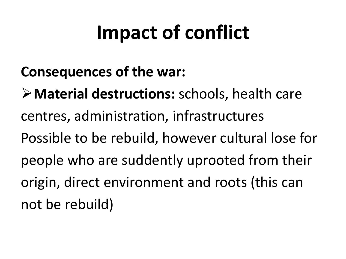#### **Consequences of the war:**

**Material destructions:** schools, health care centres, administration, infrastructures Possible to be rebuild, however cultural lose for people who are suddently uprooted from their origin, direct environment and roots (this can not be rebuild)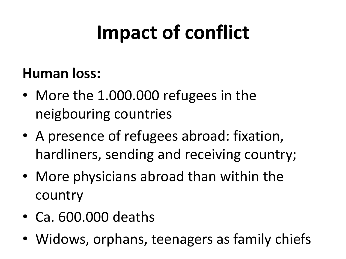#### **Human loss:**

- More the 1.000.000 refugees in the neigbouring countries
- A presence of refugees abroad: fixation, hardliners, sending and receiving country;
- More physicians abroad than within the country
- Ca. 600.000 deaths
- Widows, orphans, teenagers as family chiefs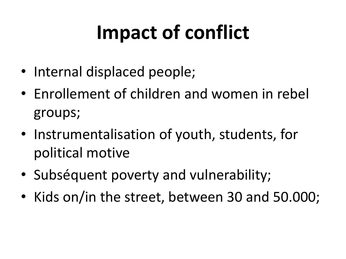- Internal displaced people;
- Enrollement of children and women in rebel groups;
- Instrumentalisation of youth, students, for political motive
- Subséquent poverty and vulnerability;
- Kids on/in the street, between 30 and 50.000;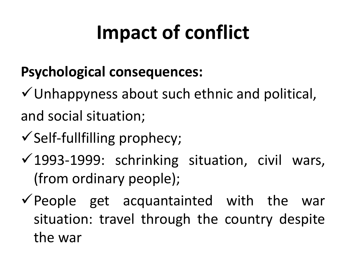#### **Psychological consequences:**

 $\checkmark$  Unhappyness about such ethnic and political, and social situation;

- $\checkmark$  Self-fullfilling prophecy;
- $\checkmark$  1993-1999: schrinking situation, civil wars, (from ordinary people);
- $\checkmark$  People get acquantainted with the war situation: travel through the country despite the war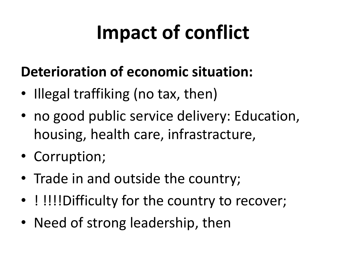#### **Deterioration of economic situation:**

- Illegal traffiking (no tax, then)
- no good public service delivery: Education, housing, health care, infrastracture,
- Corruption;
- Trade in and outside the country;
- ! !!!!Difficulty for the country to recover;
- Need of strong leadership, then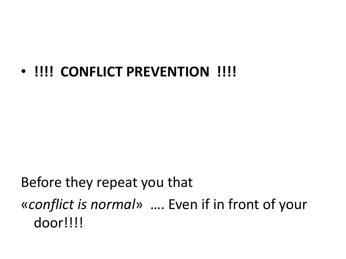#### • **!!!! CONFLICT PREVENTION !!!!**

#### Before they repeat you that «*conflict is normal*»…. Even if in front of your door!!!!